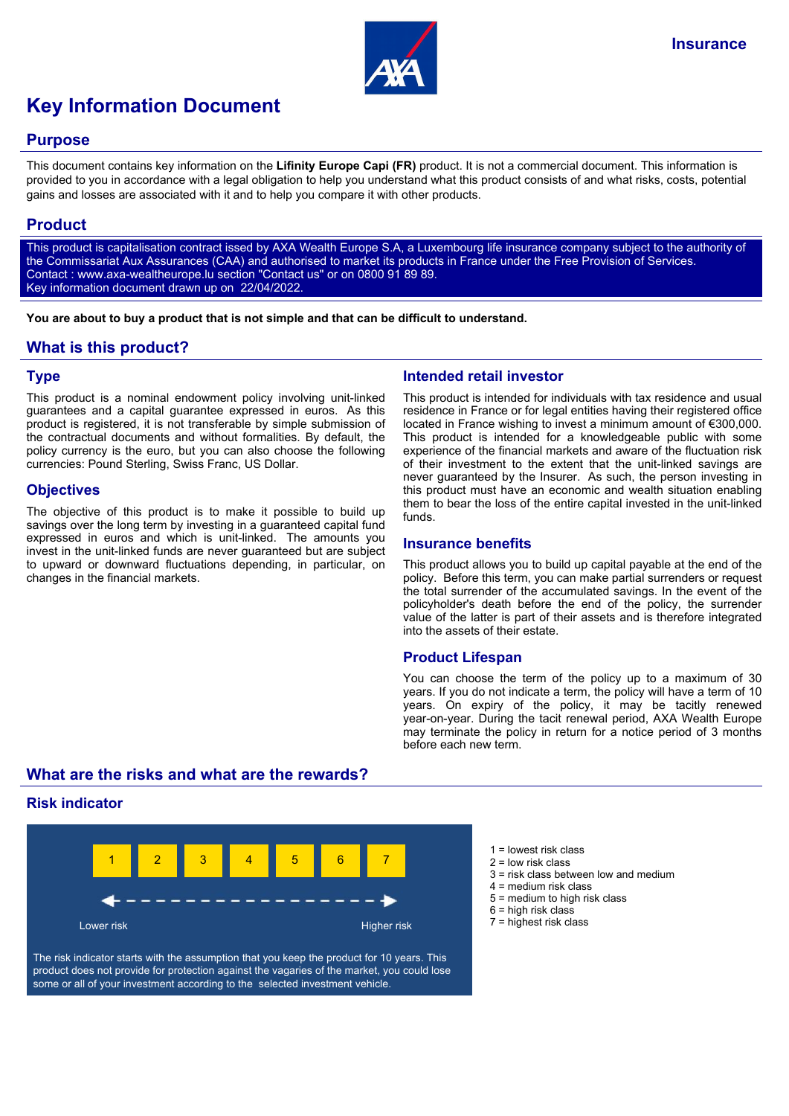

# **Key Information Document**

## **Purpose**

This document contains key information on the **Lifinity Europe Capi (FR)** product. It is not a commercial document. This information is provided to you in accordance with a legal obligation to help you understand what this product consists of and what risks, costs, potential gains and losses are associated with it and to help you compare it with other products.

## **Product**

This product is capitalisation contract issed by AXA Wealth Europe S.A, a Luxembourg life insurance company subject to the authority of the Commissariat Aux Assurances (CAA) and authorised to market its products in France under the Free Provision of Services. Contact : www.axa-wealtheurope.lu section "Contact us" or on 0800 91 89 89. Key information document drawn up on 22/04/2022.

**You are about to buy a product that is not simple and that can be difficult to understand.**

# **What is this product?**

## **Type**

This product is a nominal endowment policy involving unit-linked guarantees and a capital guarantee expressed in euros. As this product is registered, it is not transferable by simple submission of the contractual documents and without formalities. By default, the policy currency is the euro, but you can also choose the following currencies: Pound Sterling, Swiss Franc, US Dollar.

## **Objectives**

The objective of this product is to make it possible to build up savings over the long term by investing in a guaranteed capital fund expressed in euros and which is unit-linked. The amounts you invest in the unit-linked funds are never guaranteed but are subject to upward or downward fluctuations depending, in particular, on changes in the financial markets.

## **Intended retail investor**

This product is intended for individuals with tax residence and usual residence in France or for legal entities having their registered office located in France wishing to invest a minimum amount of €300,000. This product is intended for a knowledgeable public with some experience of the financial markets and aware of the fluctuation risk of their investment to the extent that the unit-linked savings are never guaranteed by the Insurer. As such, the person investing in this product must have an economic and wealth situation enabling them to bear the loss of the entire capital invested in the unit-linked funds.

#### **Insurance benefits**

This product allows you to build up capital payable at the end of the policy. Before this term, you can make partial surrenders or request the total surrender of the accumulated savings. In the event of the policyholder's death before the end of the policy, the surrender value of the latter is part of their assets and is therefore integrated into the assets of their estate.

## **Product Lifespan**

You can choose the term of the policy up to a maximum of 30 years. If you do not indicate a term, the policy will have a term of 10 years. On expiry of the policy, it may be tacitly renewed year-on-year. During the tacit renewal period, AXA Wealth Europe may terminate the policy in return for a notice period of 3 months before each new term.

# **What are the risks and what are the rewards?**

## **Risk indicator**



The risk indicator starts with the assumption that you keep the product for 10 years. This product does not provide for protection against the vagaries of the market, you could lose some or all of your investment according to the selected investment vehicle.

- $1 =$  lowest risk class
- 2 = low risk class
- 3 = risk class between low and medium
- 4 = medium risk class
- 5 = medium to high risk class
- $6$  = high risk class
- 7 = highest risk class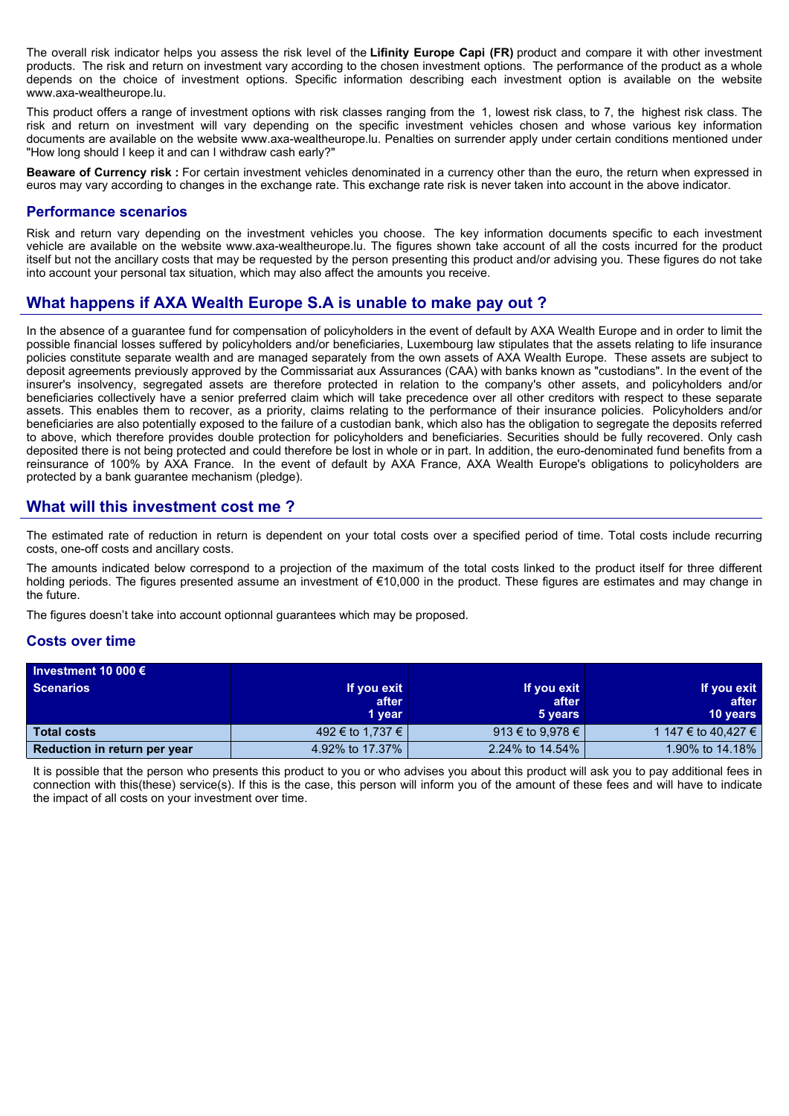The overall risk indicator helps you assess the risk level of the **Lifinity Europe Capi (FR)** product and compare it with other investment products. The risk and return on investment vary according to the chosen investment options. The performance of the product as a whole depends on the choice of investment options. Specific information describing each investment option is available on the website www.axa-wealtheurope.lu.

This product offers a range of investment options with risk classes ranging from the 1, lowest risk class, to 7, the highest risk class. The risk and return on investment will vary depending on the specific investment vehicles chosen and whose various key information documents are available on the website www.axa-wealtheurope.lu. Penalties on surrender apply under certain conditions mentioned under "How long should I keep it and can I withdraw cash early?"

**Beaware of Currency risk :** For certain investment vehicles denominated in a currency other than the euro, the return when expressed in euros may vary according to changes in the exchange rate. This exchange rate risk is never taken into account in the above indicator.

#### **Performance scenarios**

Risk and return vary depending on the investment vehicles you choose. The key information documents specific to each investment vehicle are available on the website www.axa-wealtheurope.lu. The figures shown take account of all the costs incurred for the product itself but not the ancillary costs that may be requested by the person presenting this product and/or advising you. These figures do not take into account your personal tax situation, which may also affect the amounts you receive.

# **What happens if AXA Wealth Europe S.A is unable to make pay out ?**

In the absence of a guarantee fund for compensation of policyholders in the event of default by AXA Wealth Europe and in order to limit the possible financial losses suffered by policyholders and/or beneficiaries, Luxembourg law stipulates that the assets relating to life insurance policies constitute separate wealth and are managed separately from the own assets of AXA Wealth Europe. These assets are subject to deposit agreements previously approved by the Commissariat aux Assurances (CAA) with banks known as "custodians". In the event of the insurer's insolvency, segregated assets are therefore protected in relation to the company's other assets, and policyholders and/or beneficiaries collectively have a senior preferred claim which will take precedence over all other creditors with respect to these separate assets. This enables them to recover, as a priority, claims relating to the performance of their insurance policies. Policyholders and/or beneficiaries are also potentially exposed to the failure of a custodian bank, which also has the obligation to segregate the deposits referred to above, which therefore provides double protection for policyholders and beneficiaries. Securities should be fully recovered. Only cash deposited there is not being protected and could therefore be lost in whole or in part. In addition, the euro-denominated fund benefits from a reinsurance of 100% by AXA France. In the event of default by AXA France, AXA Wealth Europe's obligations to policyholders are protected by a bank guarantee mechanism (pledge).

## **What will this investment cost me ?**

The estimated rate of reduction in return is dependent on your total costs over a specified period of time. Total costs include recurring costs, one-off costs and ancillary costs.

The amounts indicated below correspond to a projection of the maximum of the total costs linked to the product itself for three different holding periods. The figures presented assume an investment of €10,000 in the product. These figures are estimates and may change in the future.

The figures doesn't take into account optionnal guarantees which may be proposed.

#### **Costs over time**

| Investment 10 000 $\epsilon$ |                  |                  |                     |
|------------------------------|------------------|------------------|---------------------|
| <b>Scenarios</b>             | If you exit      | If you exit      | If you exit         |
|                              | after            | after            | after               |
|                              | 1 year           | 5 years          | <b>10 years</b>     |
| <b>Total costs</b>           | 492 € to 1,737 € | 913 € to 9,978 € | 1 147 € to 40.427 € |
| Reduction in return per year | 4.92% to 17.37%  | 2.24% to 14.54%  | 1.90% to 14.18%     |

It is possible that the person who presents this product to you or who advises you about this product will ask you to pay additional fees in connection with this(these) service(s). If this is the case, this person will inform you of the amount of these fees and will have to indicate the impact of all costs on your investment over time.